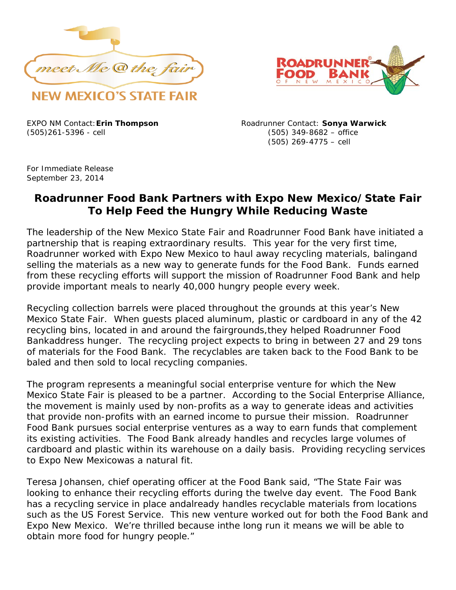



(505)261-5396 - cell (505) 349-8682 – office

EXPO NM Contact:**Erin Thompson** Roadrunner Contact: **Sonya Warwick** (505) 269-4775 – cell

For Immediate Release September 23, 2014

## **Roadrunner Food Bank Partners with Expo New Mexico/State Fair To Help Feed the Hungry While Reducing Waste**

The leadership of the New Mexico State Fair and Roadrunner Food Bank have initiated a partnership that is reaping extraordinary results. This year for the very first time, Roadrunner worked with Expo New Mexico to haul away recycling materials, balingand selling the materials as a new way to generate funds for the Food Bank. Funds earned from these recycling efforts will support the mission of Roadrunner Food Bank and help provide important meals to nearly 40,000 hungry people every week.

Recycling collection barrels were placed throughout the grounds at this year's New Mexico State Fair. When guests placed aluminum, plastic or cardboard in any of the 42 recycling bins, located in and around the fairgrounds,they helped Roadrunner Food Bankaddress hunger. The recycling project expects to bring in between 27 and 29 tons of materials for the Food Bank. The recyclables are taken back to the Food Bank to be baled and then sold to local recycling companies.

The program represents a meaningful social enterprise venture for which the New Mexico State Fair is pleased to be a partner. According to the Social Enterprise Alliance, the movement is mainly used by non-profits as a way to generate ideas and activities that provide non-profits with an earned income to pursue their mission. Roadrunner Food Bank pursues social enterprise ventures as a way to earn funds that complement its existing activities. The Food Bank already handles and recycles large volumes of cardboard and plastic within its warehouse on a daily basis. Providing recycling services to Expo New Mexicowas a natural fit.

Teresa Johansen, chief operating officer at the Food Bank said, "The State Fair was looking to enhance their recycling efforts during the twelve day event. The Food Bank has a recycling service in place andalready handles recyclable materials from locations such as the US Forest Service. This new venture worked out for both the Food Bank and Expo New Mexico. We're thrilled because inthe long run it means we will be able to obtain more food for hungry people."